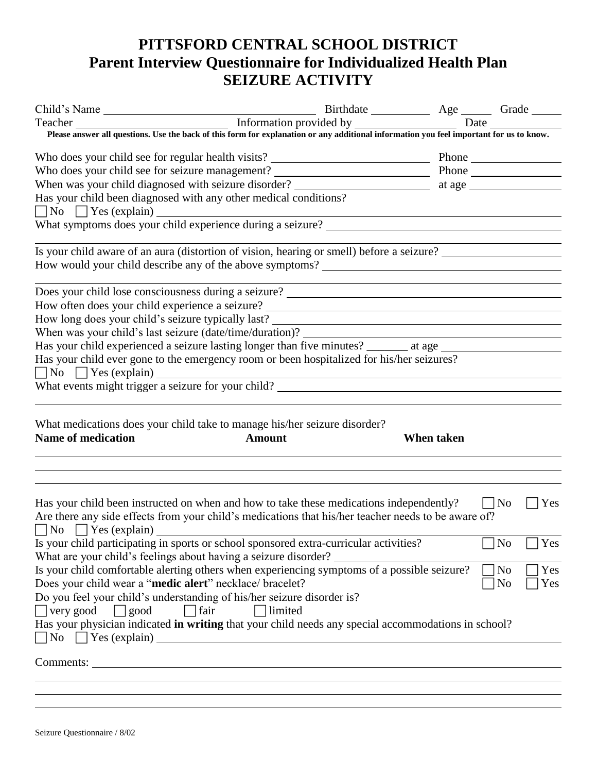## **PITTSFORD CENTRAL SCHOOL DISTRICT Parent Interview Questionnaire for Individualized Health Plan SEIZURE ACTIVITY**

| Please answer all questions. Use the back of this form for explanation or any additional information you feel important for us to know.<br>Has your child been diagnosed with any other medical conditions?<br>No S Yes (explain) What symptoms does your child experience during a seizure? |
|----------------------------------------------------------------------------------------------------------------------------------------------------------------------------------------------------------------------------------------------------------------------------------------------|
|                                                                                                                                                                                                                                                                                              |
|                                                                                                                                                                                                                                                                                              |
|                                                                                                                                                                                                                                                                                              |
|                                                                                                                                                                                                                                                                                              |
|                                                                                                                                                                                                                                                                                              |
|                                                                                                                                                                                                                                                                                              |
|                                                                                                                                                                                                                                                                                              |
|                                                                                                                                                                                                                                                                                              |
|                                                                                                                                                                                                                                                                                              |
| Is your child aware of an aura (distortion of vision, hearing or smell) before a seizure?                                                                                                                                                                                                    |
|                                                                                                                                                                                                                                                                                              |
| <u> 1980 - Johann Barn, fransk politik (d. 1980)</u>                                                                                                                                                                                                                                         |
|                                                                                                                                                                                                                                                                                              |
|                                                                                                                                                                                                                                                                                              |
| How long does your child's seizure typically last?<br>When was your child's last seizure (date/time/duration)?                                                                                                                                                                               |
|                                                                                                                                                                                                                                                                                              |
| Has your child experienced a seizure lasting longer than five minutes? _______ at age ________________________                                                                                                                                                                               |
| Has your child ever gone to the emergency room or been hospitalized for his/her seizures?                                                                                                                                                                                                    |
| $\Box$ No $\Box$ Yes (explain) $\Box$                                                                                                                                                                                                                                                        |
| What events might trigger a seizure for your child?                                                                                                                                                                                                                                          |
|                                                                                                                                                                                                                                                                                              |
| What medications does your child take to manage his/her seizure disorder?                                                                                                                                                                                                                    |
| <b>Name of medication</b><br>When taken<br><b>Amount</b>                                                                                                                                                                                                                                     |
|                                                                                                                                                                                                                                                                                              |
|                                                                                                                                                                                                                                                                                              |
|                                                                                                                                                                                                                                                                                              |
| $\Box$ Yes<br>Has your child been instructed on when and how to take these medications independently?<br>$\Box$ No                                                                                                                                                                           |
| Are there any side effects from your child's medications that his/her teacher needs to be aware of?                                                                                                                                                                                          |
|                                                                                                                                                                                                                                                                                              |
| $\Box$ No $\Box$ Yes (explain) $\Box$<br>Is your child participating in sports or school sponsored extra-curricular activities?<br>N <sub>0</sub><br>Yes                                                                                                                                     |
| What are your child's feelings about having a seizure disorder?                                                                                                                                                                                                                              |
| Is your child comfortable alerting others when experiencing symptoms of a possible seizure?<br>No<br>Yes                                                                                                                                                                                     |
| Does your child wear a "medic alert" necklace/ bracelet?<br>N <sub>o</sub><br>Yes                                                                                                                                                                                                            |
| Do you feel your child's understanding of his/her seizure disorder is?                                                                                                                                                                                                                       |
| $\exists$ fair<br>limited<br>$\Box$ very good<br>$\Box$ good                                                                                                                                                                                                                                 |
| Has your physician indicated in writing that your child needs any special accommodations in school?                                                                                                                                                                                          |
| $\neg$ No $\neg$ Yes (explain)                                                                                                                                                                                                                                                               |
|                                                                                                                                                                                                                                                                                              |
|                                                                                                                                                                                                                                                                                              |
|                                                                                                                                                                                                                                                                                              |